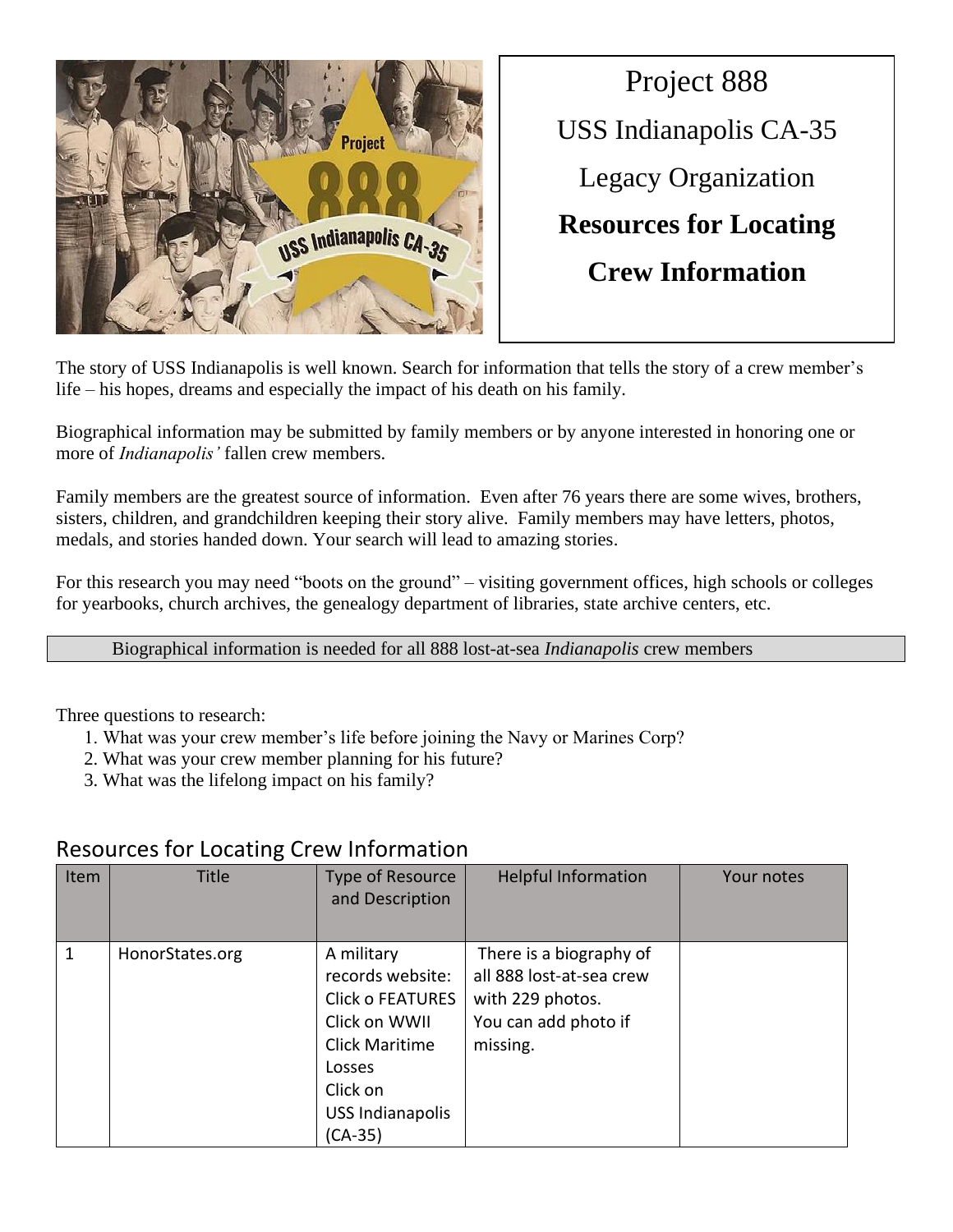

Project 888 USS Indianapolis CA-35 Legacy Organization **Resources for Locating Crew Information** 

The story of USS Indianapolis is well known. Search for information that tells the story of a crew member's life – his hopes, dreams and especially the impact of his death on his family.

Biographical information may be submitted by family members or by anyone interested in honoring one or more of *Indianapolis'* fallen crew members.

Family members are the greatest source of information. Even after 76 years there are some wives, brothers, sisters, children, and grandchildren keeping their story alive. Family members may have letters, photos, medals, and stories handed down. Your search will lead to amazing stories.

For this research you may need "boots on the ground" – visiting government offices, high schools or colleges for yearbooks, church archives, the genealogy department of libraries, state archive centers, etc.

Biographical information is needed for all 888 lost-at-sea *Indianapolis* crew members

Three questions to research:

- 1. What was your crew member's life before joining the Navy or Marines Corp?
- 2. What was your crew member planning for his future?
- 3. What was the lifelong impact on his family?

| Item | <b>Title</b>    | Type of Resource<br>and Description                                                                                                                             | <b>Helpful Information</b>                                                                                  | Your notes |
|------|-----------------|-----------------------------------------------------------------------------------------------------------------------------------------------------------------|-------------------------------------------------------------------------------------------------------------|------------|
| 1    | HonorStates.org | A military<br>records website:<br><b>Click o FEATURES</b><br>Click on WWII<br><b>Click Maritime</b><br>Losses<br>Click on<br><b>USS Indianapolis</b><br>(CA-35) | There is a biography of<br>all 888 lost-at-sea crew<br>with 229 photos.<br>You can add photo if<br>missing. |            |

## Resources for Locating Crew Information